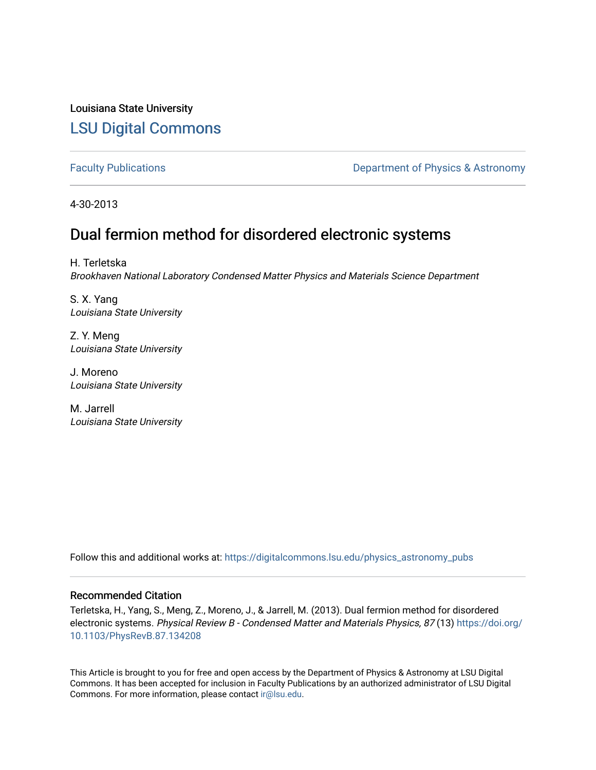Louisiana State University [LSU Digital Commons](https://digitalcommons.lsu.edu/)

[Faculty Publications](https://digitalcommons.lsu.edu/physics_astronomy_pubs) **Exercise 2 and Table 2 and Table 2 and Table 2 and Table 2 and Table 2 and Table 2 and Table 2 and Table 2 and Table 2 and Table 2 and Table 2 and Table 2 and Table 2 and Table 2 and Table 2 and Table** 

4-30-2013

# Dual fermion method for disordered electronic systems

H. Terletska Brookhaven National Laboratory Condensed Matter Physics and Materials Science Department

S. X. Yang Louisiana State University

Z. Y. Meng Louisiana State University

J. Moreno Louisiana State University

M. Jarrell Louisiana State University

Follow this and additional works at: [https://digitalcommons.lsu.edu/physics\\_astronomy\\_pubs](https://digitalcommons.lsu.edu/physics_astronomy_pubs?utm_source=digitalcommons.lsu.edu%2Fphysics_astronomy_pubs%2F3600&utm_medium=PDF&utm_campaign=PDFCoverPages) 

# Recommended Citation

Terletska, H., Yang, S., Meng, Z., Moreno, J., & Jarrell, M. (2013). Dual fermion method for disordered electronic systems. Physical Review B - Condensed Matter and Materials Physics, 87 (13) [https://doi.org/](https://doi.org/10.1103/PhysRevB.87.134208) [10.1103/PhysRevB.87.134208](https://doi.org/10.1103/PhysRevB.87.134208) 

This Article is brought to you for free and open access by the Department of Physics & Astronomy at LSU Digital Commons. It has been accepted for inclusion in Faculty Publications by an authorized administrator of LSU Digital Commons. For more information, please contact [ir@lsu.edu](mailto:ir@lsu.edu).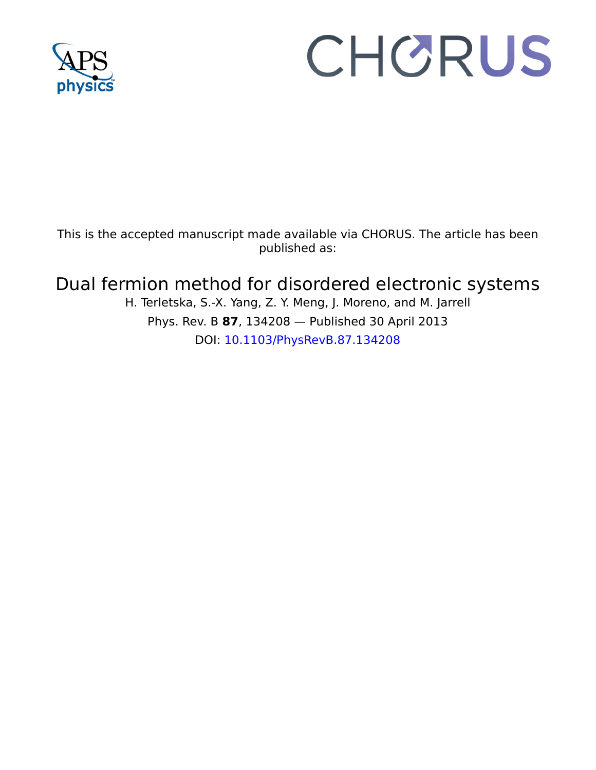

# CHORUS

This is the accepted manuscript made available via CHORUS. The article has been published as:

# Dual fermion method for disordered electronic systems

H. Terletska, S.-X. Yang, Z. Y. Meng, J. Moreno, and M. Jarrell Phys. Rev. B **87**, 134208 — Published 30 April 2013 DOI: [10.1103/PhysRevB.87.134208](http://dx.doi.org/10.1103/PhysRevB.87.134208)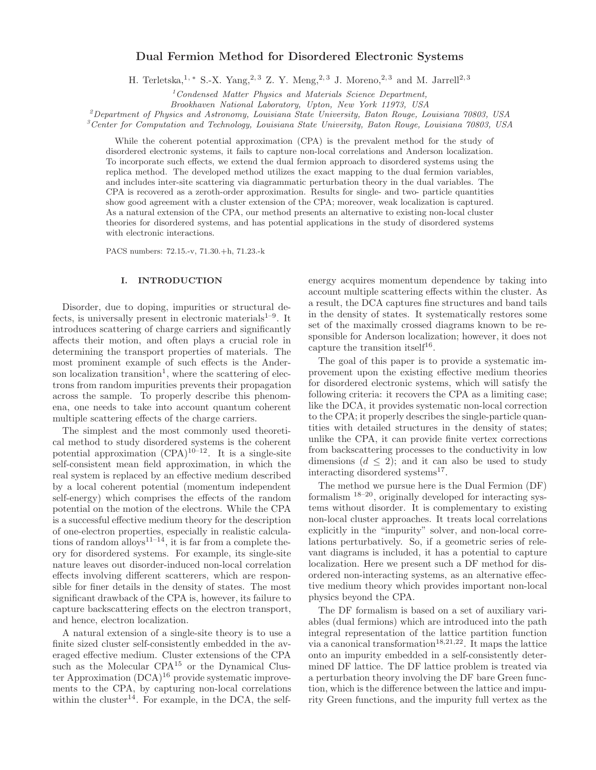# Dual Fermion Method for Disordered Electronic Systems

H. Terletska,<sup>1, \*</sup> S.-X. Yang,<sup>2, 3</sup> Z. Y. Meng,<sup>2, 3</sup> J. Moreno,<sup>2, 3</sup> and M. Jarrell<sup>2, 3</sup>

 $1$ Condensed Matter Physics and Materials Science Department,

Brookhaven National Laboratory, Upton, New York 11973, USA

<sup>2</sup>Department of Physics and Astronomy, Louisiana State University, Baton Rouge, Louisiana 70803, USA

 ${}^3$ Center for Computation and Technology, Louisiana State University, Baton Rouge, Louisiana 70803, USA

While the coherent potential approximation (CPA) is the prevalent method for the study of disordered electronic systems, it fails to capture non-local correlations and Anderson localization. To incorporate such effects, we extend the dual fermion approach to disordered systems using the replica method. The developed method utilizes the exact mapping to the dual fermion variables, and includes inter-site scattering via diagrammatic perturbation theory in the dual variables. The CPA is recovered as a zeroth-order approximation. Results for single- and two- particle quantities show good agreement with a cluster extension of the CPA; moreover, weak localization is captured. As a natural extension of the CPA, our method presents an alternative to existing non-local cluster theories for disordered systems, and has potential applications in the study of disordered systems with electronic interactions.

PACS numbers: 72.15.-v, 71.30.+h, 71.23.-k

# I. INTRODUCTION

Lectronic interactions.<br>
In INTRODUCTION<br>
INTRODUCTION<br>
INTRODUCTION<br>
Comparent interactions.<br>
INTRODUCTION<br>
Comparent in electronic materials<sup>1-9</sup>. It in the density of star<br>
ing of charge carriers and significantly set Disorder, due to doping, impurities or structural defects, is universally present in electronic materials<sup> $1-9$ </sup>. It introduces scattering of charge carriers and significantly affects their motion, and often plays a crucial role in determining the transport properties of materials. The most prominent example of such effects is the Anderson localization transition<sup>1</sup>, where the scattering of electrons from random impurities prevents their propagation across the sample. To properly describe this phenomena, one needs to take into account quantum coherent multiple scattering effects of the charge carriers.

show good agreement with a cluster extension of the CPA, more<br>were, weak boxislarion is capabricated as a standard extension of the CPA, an<br>erradion of the extends and anomaly extension as interactions in the study of dis The simplest and the most commonly used theoretical method to study disordered systems is the coherent potential approximation  $(CPA)^{10-12}$ . It is a single-site self-consistent mean field approximation, in which the real system is replaced by an effective medium described by a local coherent potential (momentum independent self-energy) which comprises the effects of the random potential on the motion of the electrons. While the CPA is a successful effective medium theory for the description of one-electron properties, especially in realistic calculations of random alloys<sup>11–14</sup>, it is far from a complete theory for disordered systems. For example, its single-site nature leaves out disorder-induced non-local correlation effects involving different scatterers, which are responsible for finer details in the density of states. The most significant drawback of the CPA is, however, its failure to capture backscattering effects on the electron transport, and hence, electron localization.

A natural extension of a single-site theory is to use a finite sized cluster self-consistently embedded in the averaged effective medium. Cluster extensions of the CPA such as the Molecular CPA<sup>15</sup> or the Dynamical Cluster Approximation  $(DCA)^{16}$  provide systematic improvements to the CPA, by capturing non-local correlations within the cluster<sup>14</sup>. For example, in the DCA, the selfenergy acquires momentum dependence by taking into account multiple scattering effects within the cluster. As a result, the DCA captures fine structures and band tails in the density of states. It systematically restores some set of the maximally crossed diagrams known to be responsible for Anderson localization; however, it does not capture the transition itself<sup>16</sup>.

The goal of this paper is to provide a systematic improvement upon the existing effective medium theories for disordered electronic systems, which will satisfy the following criteria: it recovers the CPA as a limiting case; like the DCA, it provides systematic non-local correction to the CPA; it properly describes the single-particle quantities with detailed structures in the density of states; unlike the CPA, it can provide finite vertex corrections from backscattering processes to the conductivity in low dimensions  $(d \leq 2)$ ; and it can also be used to study interacting disordered systems<sup>17</sup>.

The method we pursue here is the Dual Fermion (DF) formalism 18–20, originally developed for interacting systems without disorder. It is complementary to existing non-local cluster approaches. It treats local correlations explicitly in the "impurity" solver, and non-local correlations perturbatively. So, if a geometric series of relevant diagrams is included, it has a potential to capture localization. Here we present such a DF method for disordered non-interacting systems, as an alternative effective medium theory which provides important non-local physics beyond the CPA.

The DF formalism is based on a set of auxiliary variables (dual fermions) which are introduced into the path integral representation of the lattice partition function via a canonical transformation<sup>18,21,22</sup>. It maps the lattice onto an impurity embedded in a self-consistently determined DF lattice. The DF lattice problem is treated via a perturbation theory involving the DF bare Green function, which is the difference between the lattice and impurity Green functions, and the impurity full vertex as the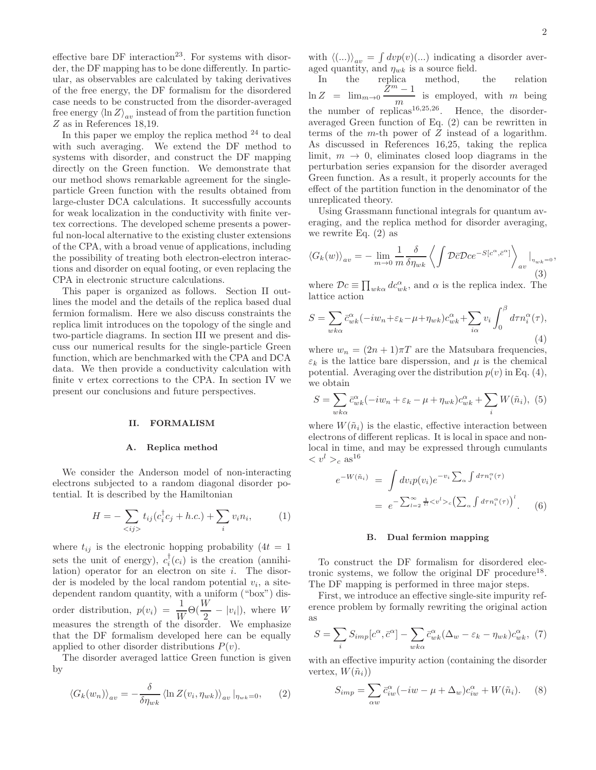effective bare  $DF$  interaction<sup>23</sup>. For systems with disorder, the DF mapping has to be done differently. In particular, as observables are calculated by taking derivatives of the free energy, the DF formalism for the disordered case needs to be constructed from the disorder-averaged free energy  $\langle \ln Z \rangle_{av}$  instead of from the partition function Z as in References 18,19.

In this paper we employ the replica method  $24$  to deal with such averaging. We extend the DF method to systems with disorder, and construct the DF mapping directly on the Green function. We demonstrate that our method shows remarkable agreement for the singleparticle Green function with the results obtained from large-cluster DCA calculations. It successfully accounts for weak localization in the conductivity with finite vertex corrections. The developed scheme presents a powerful non-local alternative to the existing cluster extensions of the CPA, with a broad venue of applications, including the possibility of treating both electron-electron interactions and disorder on equal footing, or even replacing the CPA in electronic structure calculations.

This paper is organized as follows. Section II outlines the model and the details of the replica based dual fermion formalism. Here we also discuss constraints the replica limit introduces on the topology of the single and two-particle diagrams. In section III we present and discuss our numerical results for the single-particle Green function, which are benchmarked with the CPA and DCA data. We then provide a conductivity calculation with finite v ertex corrections to the CPA. In section IV we present our conclusions and future perspectives.

# II. FORMALISM

# A. Replica method

We consider the Anderson model of non-interacting electrons subjected to a random diagonal disorder potential. It is described by the Hamiltonian

$$
H = -\sum_{\langle ij \rangle} t_{ij} (c_i^{\dagger} c_j + h.c.) + \sum_i v_i n_i, \tag{1}
$$

where  $t_{ij}$  is the electronic hopping probability (4t = 1) sets the unit of energy),  $c_i^{\dagger}(c_i)$  is the creation (annihilation) operator for an electron on site  $i$ . The disorder is modeled by the local random potential  $v_i$ , a sitedependent random quantity, with a uniform ("box") disorder distribution,  $p(v_i) = \frac{1}{W} \Theta(\frac{W}{2} - |v_i|)$ , where W measures the strength of the disorder. We emphasize that the DF formalism developed here can be equally applied to other disorder distributions  $P(v)$ .

The disorder averaged lattice Green function is given by

$$
\langle G_k(w_n) \rangle_{av} = -\frac{\delta}{\delta \eta_{wk}} \langle \ln Z(v_i, \eta_{wk}) \rangle_{av} |_{\eta_{wk}=0}, \qquad (2)
$$

with  $\langle (...) \rangle_{av} = \int dv p(v) (...)$  indicating a disorder averaged quantity, and  $\eta_{wk}$  is a source field.

In the replica method, the relation  $\ln Z = \lim_{m\to 0} \frac{\dot{Z}^m - 1}{m}$  $\frac{m}{m}$  is employed, with m being the number of replicas<sup>16,25,26</sup>. Hence, the disorderaveraged Green function of Eq. (2) can be rewritten in terms of the  $m$ -th power of  $Z$  instead of a logarithm. As discussed in References 16,25, taking the replica limit,  $m \to 0$ , eliminates closed loop diagrams in the perturbation series expansion for the disorder averaged Green function. As a result, it properly accounts for the effect of the partition function in the denominator of the unreplicated theory.

Using Grassmann functional integrals for quantum averaging, and the replica method for disorder averaging, we rewrite Eq. (2) as

$$
\langle G_k(w) \rangle_{av} = - \lim_{m \to 0} \frac{1}{m} \frac{\delta}{\delta \eta_{wk}} \left\langle \int \mathcal{D}\bar{c} \mathcal{D}c e^{-S[c^{\alpha}, \bar{c}^{\alpha}]} \right\rangle_{av} \Big|_{\eta_{wk} = 0},\tag{3}
$$

where  $\mathcal{D}c \equiv \prod_{wk\alpha} dc_{wk}^{\alpha}$ , and  $\alpha$  is the replica index. The lattice action

$$
S = \sum_{wk\alpha} \bar{c}_{wk}^{\alpha} (-iw_n + \varepsilon_k - \mu + \eta_{wk}) c_{wk}^{\alpha} + \sum_{i\alpha} v_i \int_0^{\beta} d\tau n_i^{\alpha}(\tau),
$$
\n(4)

where  $w_n = (2n + 1)\pi T$  are the Matsubara frequencies,  $\varepsilon_k$  is the lattice bare disperssion, and  $\mu$  is the chemical potential. Averaging over the distribution  $p(v)$  in Eq. (4), we obtain

$$
S = \sum_{wk\alpha} \bar{c}_{wk}^{\alpha}(-iw_n + \varepsilon_k - \mu + \eta_{wk})c_{wk}^{\alpha} + \sum_{i} W(\tilde{n}_i), \tag{5}
$$

where  $W(\tilde{n}_i)$  is the elastic, effective interaction between electrons of different replicas. It is local in space and nonlocal in time, and may be expressed through cumulants  $\langle v^l \rangle_c$  as<sup>16</sup>

$$
e^{-W(\tilde{n}_i)} = \int dv_i p(v_i) e^{-v_i \sum_{\alpha} \int d\tau n_i^{\alpha}(\tau)}
$$
  
= 
$$
e^{-\sum_{l=2}^{\infty} \frac{1}{l!} \langle v^l \rangle_c} (\sum_{\alpha} \int d\tau n_i^{\alpha}(\tau))^l.
$$
 (6)

#### B. Dual fermion mapping

To construct the DF formalism for disordered electronic systems, we follow the original DF procedure<sup>18</sup>. The DF mapping is performed in three major steps.

First, we introduce an effective single-site impurity reference problem by formally rewriting the original action as

$$
S = \sum_{i} S_{imp}[c^{\alpha}, \bar{c}^{\alpha}] - \sum_{wk\alpha} \bar{c}^{\alpha}_{wk} (\Delta_w - \varepsilon_k - \eta_{wk}) c^{\alpha}_{wk}, \tag{7}
$$

with an effective impurity action (containing the disorder vertex,  $W(\tilde{n}_i)$ 

$$
S_{imp} = \sum_{\alpha w} \bar{c}_{iw}^{\alpha} (-iw - \mu + \Delta_w) c_{iw}^{\alpha} + W(\tilde{n}_i). \tag{8}
$$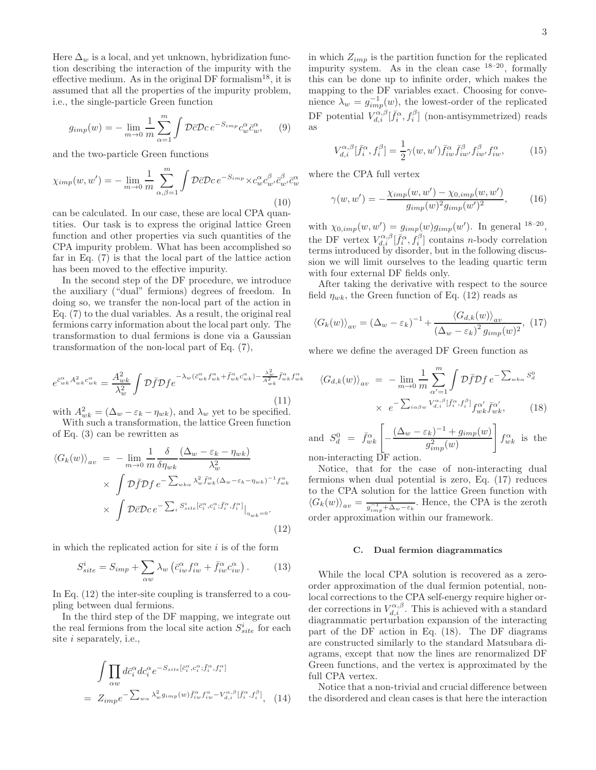Here  $\Delta_w$  is a local, and yet unknown, hybridization function describing the interaction of the impurity with the effective medium. As in the original DF formalism<sup>18</sup>, it is assumed that all the properties of the impurity problem, i.e., the single-particle Green function

$$
g_{imp}(w) = -\lim_{m \to 0} \frac{1}{m} \sum_{\alpha=1}^{m} \int \mathcal{D}\bar{c} \mathcal{D}c \, e^{-S_{imp}} c_w^{\alpha} \bar{c}_w^{\alpha}, \qquad (9)
$$

and the two-particle Green functions

$$
\chi_{imp}(w, w') = -\lim_{m \to 0} \frac{1}{m} \sum_{\alpha, \beta=1}^{m} \int \mathcal{D}\bar{c} \mathcal{D}c \, e^{-S_{imp}} \times c_w^{\alpha} c_w^{\beta} \bar{c}_{w'}^{\alpha} \bar{c}_{w}^{\alpha}
$$
\n(10)

can be calculated. In our case, these are local CPA quantities. Our task is to express the original lattice Green function and other properties via such quantities of the CPA impurity problem. What has been accomplished so far in Eq. (7) is that the local part of the lattice action has been moved to the effective impurity.

In the second step of the DF procedure, we introduce the auxiliary ("dual" fermions) degrees of freedom. In doing so, we transfer the non-local part of the action in Eq. (7) to the dual variables. As a result, the original real fermions carry information about the local part only. The transformation to dual fermions is done via a Gaussian transformation of the non-local part of Eq. (7),

$$
e^{\bar{c}_{wk}^{\alpha} A_{wk}^2 c_{wk}^{\alpha}} = \frac{A_{wk}^2}{\lambda_w^2} \int \mathcal{D}\bar{f} \mathcal{D}f e^{-\lambda_w (\bar{c}_{wk}^{\alpha} f_{wk}^{\alpha} + \bar{f}_{wk}^{\alpha} c_{wk}^{\alpha}) - \frac{\lambda_w^2}{A_{wk}^2} \bar{f}_{wk}^{\alpha} f_{wk}^{\alpha}} \tag{11}
$$

with  $A_{wk}^2 = (\Delta_w - \varepsilon_k - \eta_{wk}),$  and  $\lambda_w$  yet to be specified.

With such a transformation, the lattice Green function of Eq. (3) can be rewritten as

$$
\langle G_k(w) \rangle_{av} = - \lim_{m \to 0} \frac{1}{m} \frac{\delta}{\delta \eta_{wk}} \frac{(\Delta_w - \varepsilon_k - \eta_{wk})}{\lambda_w^2} \times \int \mathcal{D} \bar{f} \mathcal{D} f \, e^{-\sum_{wk\alpha} \lambda_w^2 \bar{f}_{wk}^{\alpha} (\Delta_w - \varepsilon_k - \eta_{wk})^{-1} f_{wk}^{\alpha}} \times \int \mathcal{D} \bar{c} \mathcal{D} c \, e^{-\sum_i S_{site}^i [\bar{c}_i^{\alpha}, c_i^{\alpha}; \bar{f}_i^{\alpha}, f_i^{\alpha}]} \big|_{\eta_{wk} = 0}.
$$
\n(12)

in which the replicated action for site  $i$  is of the form

$$
S_{site}^{i} = S_{imp} + \sum_{\alpha w} \lambda_w \left( \bar{c}_{iw}^{\alpha} f_{iw}^{\alpha} + \bar{f}_{iw}^{\alpha} c_{iw}^{\alpha} \right). \tag{13}
$$

In Eq. (12) the inter-site coupling is transferred to a coupling between dual fermions.

In the third step of the DF mapping, we integrate out the real fermions from the local site action  $S_{site}^i$  for each site i separately, i.e.,

$$
\int \prod_{\alpha w} d\bar{c}_i^{\alpha} dc_i^{\alpha} e^{-S_{site}[\bar{c}_i^{\alpha}, c_i^{\alpha}; \bar{f}_i^{\alpha}, f_i^{\alpha}]}
$$
\n
$$
= Z_{imp} e^{-\sum_{w\alpha} \lambda_w^2 g_{imp}(w) \bar{f}_{iw}^{\alpha} f_{iw}^{\alpha} - V_{d,i}^{\alpha,\beta} [\bar{f}_i^{\alpha}, f_i^{\beta}], \quad (14)
$$

in which  $Z_{imp}$  is the partition function for the replicated impurity system. As in the clean case 18–20, formally this can be done up to infinite order, which makes the mapping to the DF variables exact. Choosing for convenience  $\lambda_w = g_{imp}^{-1}(w)$ , the lowest-order of the replicated DF potential  $V_{d,i}^{\alpha,\beta}[\bar{f}_i^{\alpha},f_i^{\beta}]$  (non-antisymmetrized) reads as

$$
V_{d,i}^{\alpha,\beta}[\bar{f}_i^{\alpha},f_i^{\beta}] = \frac{1}{2}\gamma(w,w')\bar{f}_{iw}^{\alpha}\bar{f}_{iw'}^{\beta}f_{iw}^{\beta}f_{iw}^{\alpha},\tag{15}
$$

where the CPA full vertex

$$
\gamma(w, w') = -\frac{\chi_{imp}(w, w') - \chi_{0,imp}(w, w')}{g_{imp}(w)^2 g_{imp}(w')^2},
$$
 (16)

with  $\chi_{0,imp}(w, w') = g_{imp}(w)g_{imp}(w')$ . In general <sup>18-20</sup>, the DF vertex  $V_{d,i}^{\alpha,\beta}[\bar{f}_i^{\alpha},f_i^{\beta}]$  contains *n*-body correlation terms introduced by disorder, but in the following discussion we will limit ourselves to the leading quartic term with four external DF fields only.

After taking the derivative with respect to the source field  $\eta_{wk}$ , the Green function of Eq. (12) reads as

$$
\langle G_k(w) \rangle_{av} = (\Delta_w - \varepsilon_k)^{-1} + \frac{\langle G_{d,k}(w) \rangle_{av}}{(\Delta_w - \varepsilon_k)^2 g_{imp}(w)^2}, \tag{17}
$$

where we define the averaged DF Green function as

$$
\langle G_{d,k}(w) \rangle_{av} = - \lim_{m \to 0} \frac{1}{m} \sum_{\alpha'=1}^{m} \int \mathcal{D}\bar{f} \mathcal{D}f \, e^{-\sum_{w k \alpha} S_d^0}
$$

$$
\times \ e^{-\sum_{i \alpha \beta w} V_{d,i}^{\alpha,\beta} [\bar{f}_i^{\alpha}, f_i^{\beta}]} f_{w k}^{\alpha'} \bar{f}_{w k}^{\alpha'}, \tag{18}
$$

and  $S_d^0 = \bar{f}_{wk}^{\alpha} \left[ -\frac{(\Delta_w - \varepsilon_k)^{-1} + g_{imp}(w)}{a^2 - (w)} \right]$  $g_{imp}^2(w)$ 1  $f_{wk}^{\alpha}$  is the non-interacting DF action.

Notice, that for the case of non-interacting dual fermions when dual potential is zero, Eq. (17) reduces to the CPA solution for the lattice Green function with  $\langle G_k(w) \rangle_{av} = \frac{1}{g_{imp}^{-1} + \Delta_w - \varepsilon_k}$ . Hence, the CPA is the zeroth order approximation within our framework.

## C. Dual fermion diagrammatics

While the local CPA solution is recovered as a zeroorder approximation of the dual fermion potential, nonlocal corrections to the CPA self-energy require higher order corrections in  $V_{d,i}^{\alpha,\beta}$ . This is achieved with a standard diagrammatic perturbation expansion of the interacting part of the DF action in Eq. (18). The DF diagrams are constructed similarly to the standard Matsubara diagrams, except that now the lines are renormalized DF Green functions, and the vertex is approximated by the full CPA vertex.

Notice that a non-trivial and crucial difference between the disordered and clean cases is that here the interaction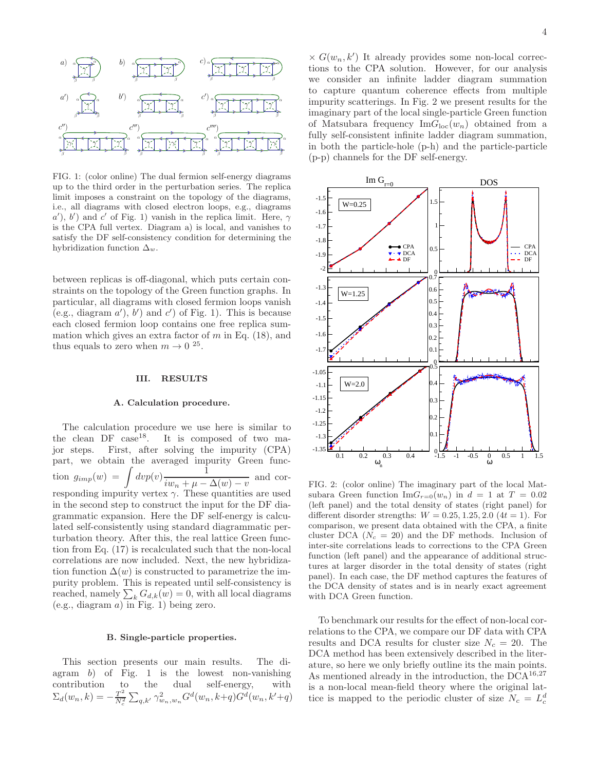

FIG. 1: (color online) The dual fermion self-energy diagrams up to the third order in the perturbation series. The replica limit imposes a constraint on the topology of the diagrams, i.e., all diagrams with closed electron loops, e.g., diagrams  $(a')$ ,  $(b')$  and  $c'$  of Fig. 1) vanish in the replica limit. Here,  $\gamma$ is the CPA full vertex. Diagram a) is local, and vanishes to satisfy the DF self-consistency condition for determining the hybridization function  $\Delta_w$ .

between replicas is off-diagonal, which puts certain constraints on the topology of the Green function graphs. In particular, all diagrams with closed fermion loops vanish (e.g., diagram  $a'$ ),  $b'$ ) and  $c'$ ) of Fig. 1). This is because each closed fermion loop contains one free replica summation which gives an extra factor of  $m$  in Eq. (18), and thus equals to zero when  $m \to 0^{25}$ .

#### III. RESULTS

#### A. Calculation procedure.

The calculation procedure we use here is similar to the clean DF  $case^{18}$ . It is composed of two ma-It is composed of two major steps. First, after solving the impurity (CPA) part, we obtain the averaged impurity Green function  $g_{imp}(w) = \int dv p(v) \frac{1}{\sqrt{2\pi}}$  $\frac{1}{i w_n + \mu - \Delta(w) - v}$  and corresponding impurity vertex  $\gamma$ . These quantities are used in the second step to construct the input for the DF diagrammatic expansion. Here the DF self-energy is calculated self-consistently using standard diagrammatic perturbation theory. After this, the real lattice Green function from Eq. (17) is recalculated such that the non-local correlations are now included. Next, the new hybridization function  $\Delta(w)$  is constructed to parametrize the impurity problem. This is repeated until self-consistency is reached, namely  $\sum_{k} G_{d,k}(w) = 0$ , with all local diagrams  $(e.g., diagram a)$  in Fig. 1) being zero.

#### B. Single-particle properties.

This section presents our main results. The diagram  $b$ ) of Fig. 1 is the lowest non-vanishing contribution to the dual self-energy, with  $\Sigma_d(w_n,k)=-\tfrac{T^2}{N^2}$  $\frac{T^2}{N_c^2} \sum_{q,k'} \gamma_{w_n,w_n}^2 G^d(w_n,k+q) G^d(w_n,k'+q)$ 

 $\times G(w_n, k')$  It already provides some non-local corrections to the CPA solution. However, for our analysis we consider an infinite ladder diagram summation to capture quantum coherence effects from multiple impurity scatterings. In Fig. 2 we present results for the imaginary part of the local single-particle Green function of Matsubara frequency  $\text{Im}G_{\text{loc}}(w_n)$  obtained from a fully self-consistent infinite ladder diagram summation, in both the particle-hole (p-h) and the particle-particle (p-p) channels for the DF self-energy.



FIG. 2: (color online) The imaginary part of the local Matsubara Green function  $\text{Im}G_{r=0}(w_n)$  in  $d = 1$  at  $T = 0.02$ (left panel) and the total density of states (right panel) for different disorder strengths:  $W = 0.25, 1.25, 2.0$  (4t = 1). For comparison, we present data obtained with the CPA, a finite cluster DCA ( $N_c = 20$ ) and the DF methods. Inclusion of inter-site correlations leads to corrections to the CPA Green function (left panel) and the appearance of additional structures at larger disorder in the total density of states (right panel). In each case, the DF method captures the features of the DCA density of states and is in nearly exact agreement with DCA Green function.

To benchmark our results for the effect of non-local correlations to the CPA, we compare our DF data with CPA results and DCA results for cluster size  $N_c = 20$ . The DCA method has been extensively described in the literature, so here we only briefly outline its the main points. As mentioned already in the introduction, the  $DCA^{16,27}$ is a non-local mean-field theory where the original lattice is mapped to the periodic cluster of size  $N_c = L_c^d$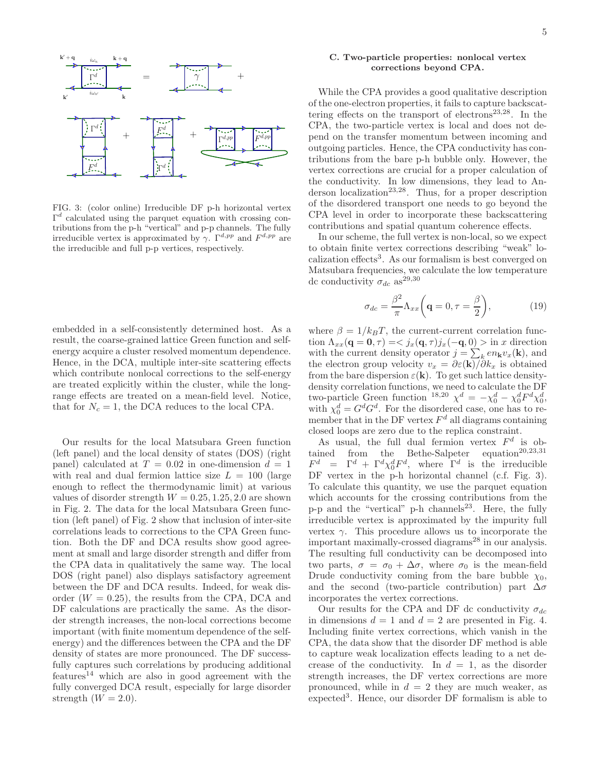

FIG. 3: (color online) Irreducible DF p-h horizontal vertex  $\Gamma^d$  calculated using the parquet equation with crossing contributions from the p-h "vertical" and p-p channels. The fully irreducible vertex is approximated by  $\gamma$ .  $\Gamma^{d,pp}$  and  $F^{d,pp}$  are the irreducible and full p-p vertices, respectively.

embedded in a self-consistently determined host. As a result, the coarse-grained lattice Green function and selfenergy acquire a cluster resolved momentum dependence. Hence, in the DCA, multiple inter-site scattering effects which contribute nonlocal corrections to the self-energy are treated explicitly within the cluster, while the longrange effects are treated on a mean-field level. Notice, that for  $N_c = 1$ , the DCA reduces to the local CPA.

Our results for the local Matsubara Green function (left panel) and the local density of states (DOS) (right panel) calculated at  $T = 0.02$  in one-dimension  $d = 1$ with real and dual fermion lattice size  $L = 100$  (large enough to reflect the thermodynamic limit) at various values of disorder strength  $W = 0.25, 1.25, 2.0$  are shown in Fig. 2. The data for the local Matsubara Green function (left panel) of Fig. 2 show that inclusion of inter-site correlations leads to corrections to the CPA Green function. Both the DF and DCA results show good agreement at small and large disorder strength and differ from the CPA data in qualitatively the same way. The local DOS (right panel) also displays satisfactory agreement between the DF and DCA results. Indeed, for weak disorder  $(W = 0.25)$ , the results from the CPA, DCA and DF calculations are practically the same. As the disorder strength increases, the non-local corrections become important (with finite momentum dependence of the selfenergy) and the differences between the CPA and the DF density of states are more pronounced. The DF successfully captures such correlations by producing additional  $f$ eatures<sup>14</sup> which are also in good agreement with the fully converged DCA result, especially for large disorder strength  $(W = 2.0)$ .

## C. Two-particle properties: nonlocal vertex corrections beyond CPA.

While the CPA provides a good qualitative description of the one-electron properties, it fails to capture backscattering effects on the transport of electrons<sup>23,28</sup>. In the CPA, the two-particle vertex is local and does not depend on the transfer momentum between incoming and outgoing particles. Hence, the CPA conductivity has contributions from the bare p-h bubble only. However, the vertex corrections are crucial for a proper calculation of the conductivity. In low dimensions, they lead to Anderson localization<sup>23,28</sup>. Thus, for a proper description of the disordered transport one needs to go beyond the CPA level in order to incorporate these backscattering contributions and spatial quantum coherence effects.

In our scheme, the full vertex is non-local, so we expect to obtain finite vertex corrections describing "weak" localization effects<sup>3</sup>. As our formalism is best converged on Matsubara frequencies, we calculate the low temperature dc conductivity  $\sigma_{dc}$  as<sup>29,30</sup>

$$
\sigma_{dc} = \frac{\beta^2}{\pi} \Lambda_{xx} \left( \mathbf{q} = 0, \tau = \frac{\beta}{2} \right), \tag{19}
$$

where  $\beta = 1/k_BT$ , the current-current correlation function  $\Lambda_{xx}(\mathbf{q} = \mathbf{0}, \tau) = \langle j_x(\mathbf{q}, \tau) j_x(-\mathbf{q}, 0) \rangle$  in x direction with the current density operator  $j = \sum_k en_{\mathbf{k}}v_x(\mathbf{k})$ , and the electron group velocity  $v_x = \partial \varepsilon(\mathbf{k})/\partial k_x$  is obtained from the bare dispersion  $\varepsilon(\mathbf{k})$ . To get such lattice densitydensity correlation functions, we need to calculate the DF two-particle Green function <sup>18,20</sup>  $\chi^d = -\chi_0^d - \chi_0^d F^d \chi_0^d$ , with  $\chi_0^d = G^d G^d$ . For the disordered case, one has to remember that in the DF vertex  $F<sup>d</sup>$  all diagrams containing closed loops are zero due to the replica constraint.

As usual, the full dual fermion vertex  $F<sup>d</sup>$  is obtained from the Bethe-Salpeter equation<sup>20,23,31</sup>  $F^d = \Gamma^d + \Gamma^d \chi_0^d F^d$ , where  $\Gamma^d$  is the irreducible DF vertex in the p-h horizontal channel (c.f. Fig. 3). To calculate this quantity, we use the parquet equation which accounts for the crossing contributions from the  $p-p$  and the "vertical"  $p-h$  channels<sup>23</sup>. Here, the fully irreducible vertex is approximated by the impurity full vertex  $\gamma$ . This procedure allows us to incorporate the important maximally-crossed diagrams<sup>28</sup> in our analysis. The resulting full conductivity can be decomposed into two parts,  $\sigma = \sigma_0 + \Delta \sigma$ , where  $\sigma_0$  is the mean-field Drude conductivity coming from the bare bubble  $\chi_0$ , and the second (two-particle contribution) part  $\Delta \sigma$ incorporates the vertex corrections.

Our results for the CPA and DF dc conductivity  $\sigma_{dc}$ in dimensions  $d = 1$  and  $d = 2$  are presented in Fig. 4. Including finite vertex corrections, which vanish in the CPA, the data show that the disorder DF method is able to capture weak localization effects leading to a net decrease of the conductivity. In  $d = 1$ , as the disorder strength increases, the DF vertex corrections are more pronounced, while in  $d = 2$  they are much weaker, as expected<sup>3</sup> . Hence, our disorder DF formalism is able to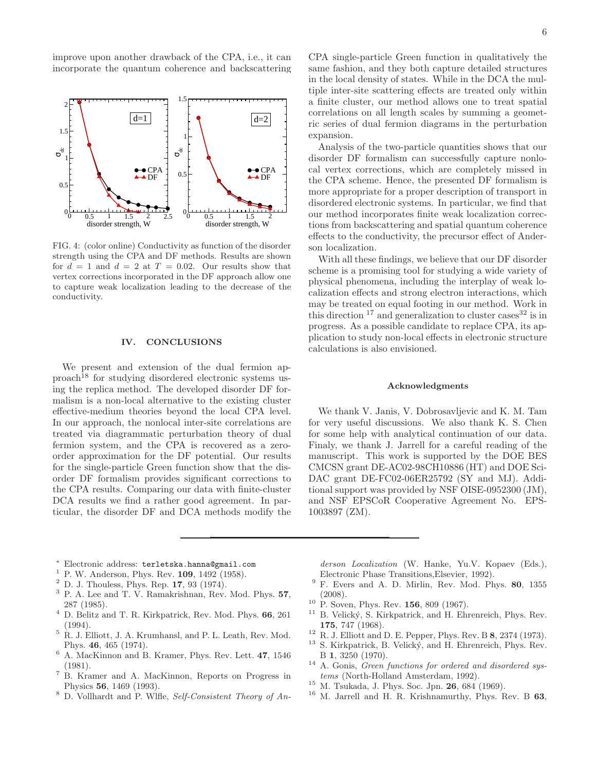improve upon another drawback of the CPA, i.e., it can incorporate the quantum coherence and backscattering



FIG. 4: (color online) Conductivity as function of the disorder strength using the CPA and DF methods. Results are shown for  $d = 1$  and  $d = 2$  at  $T = 0.02$ . Our results show that vertex corrections incorporated in the DF approach allow one to capture weak localization leading to the decrease of the conductivity.

# IV. CONCLUSIONS

We present and extension of the dual fermion ap $proach<sup>18</sup>$  for studying disordered electronic systems using the replica method. The developed disorder DF formalism is a non-local alternative to the existing cluster effective-medium theories beyond the local CPA level. In our approach, the nonlocal inter-site correlations are treated via diagrammatic perturbation theory of dual fermion system, and the CPA is recovered as a zeroorder approximation for the DF potential. Our results for the single-particle Green function show that the disorder DF formalism provides significant corrections to the CPA results. Comparing our data with finite-cluster DCA results we find a rather good agreement. In particular, the disorder DF and DCA methods modify the

Analysis of the two-particle quantities shows that our disorder DF formalism can successfully capture nonlocal vertex corrections, which are completely missed in the CPA scheme. Hence, the presented DF formalism is more appropriate for a proper description of transport in disordered electronic systems. In particular, we find that our method incorporates finite weak localization corrections from backscattering and spatial quantum coherence effects to the conductivity, the precursor effect of Anderson localization.

With all these findings, we believe that our DF disorder scheme is a promising tool for studying a wide variety of physical phenomena, including the interplay of weak localization effects and strong electron interactions, which may be treated on equal footing in our method. Work in this direction  $17$  and generalization to cluster cases  $32$  is in progress. As a possible candidate to replace CPA, its application to study non-local effects in electronic structure calculations is also envisioned.

# Acknowledgments

We thank V. Janis, V. Dobrosavljevic and K. M. Tam for very useful discussions. We also thank K. S. Chen for some help with analytical continuation of our data. Finaly, we thank J. Jarrell for a careful reading of the manuscript. This work is supported by the DOE BES CMCSN grant DE-AC02-98CH10886 (HT) and DOE Sci-DAC grant DE-FC02-06ER25792 (SY and MJ). Additional support was provided by NSF OISE-0952300 (JM), and NSF EPSCoR Cooperative Agreement No. EPS-1003897 (ZM).

- <sup>∗</sup> Electronic address: terletska.hanna@gmail.com
- $^1$  P. W. Anderson, Phys. Rev.  $109, 1492$  (1958).
- $2$  D. J. Thouless, Phys. Rep. 17, 93 (1974).
- <sup>3</sup> P. A. Lee and T. V. Ramakrishnan, Rev. Mod. Phys. 57, 287 (1985).
- <sup>4</sup> D. Belitz and T. R. Kirkpatrick, Rev. Mod. Phys. 66, 261 (1994).
- <sup>5</sup> R. J. Elliott, J. A. Krumhansl, and P. L. Leath, Rev. Mod. Phys. 46, 465 (1974).
- <sup>6</sup> A. MacKinnon and B. Kramer, Phys. Rev. Lett. 47, 1546 (1981).
- <sup>7</sup> B. Kramer and A. MacKinnon, Reports on Progress in Physics 56, 1469 (1993).
- <sup>8</sup> D. Vollhardt and P. Wlfle, Self-Consistent Theory of An-

derson Localization (W. Hanke, Yu.V. Kopaev (Eds.), Electronic Phase Transitions,Elsevier, 1992).

- $9$  F. Evers and A. D. Mirlin, Rev. Mod. Phys. 80, 1355 (2008).
- <sup>10</sup> P. Soven, Phys. Rev. 156, 809 (1967).
- $11$  B. Velický, S. Kirkpatrick, and H. Ehrenreich, Phys. Rev. 175, 747 (1968).
- <sup>12</sup> R. J. Elliott and D. E. Pepper, Phys. Rev. B 8, 2374 (1973).
- <sup>13</sup> S. Kirkpatrick, B. Velický, and H. Ehrenreich, Phys. Rev. B 1, 3250 (1970).
- $14$  A. Gonis, *Green functions for ordered and disordered sys*tems (North-Holland Amsterdam, 1992).
- <sup>15</sup> M. Tsukada, J. Phys. Soc. Jpn. 26, 684 (1969).
- <sup>16</sup> M. Jarrell and H. R. Krishnamurthy, Phys. Rev. B 63,